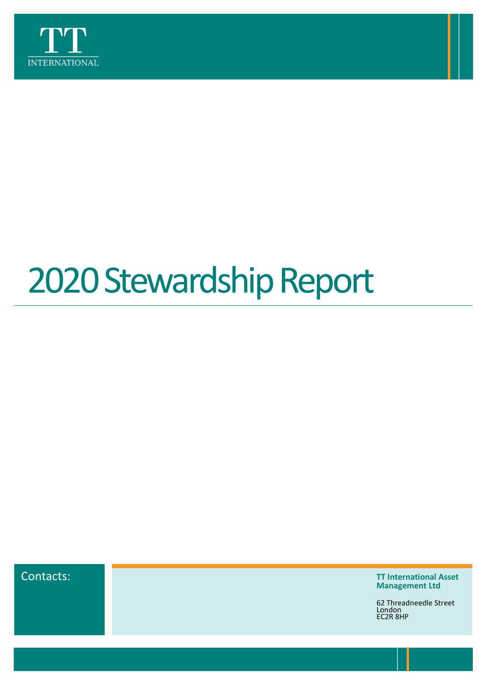

# 2020 Stewardship Report



Contacts: **TT International Asset Management Ltd**

> 62 Threadneedle Street London EC2R 8HP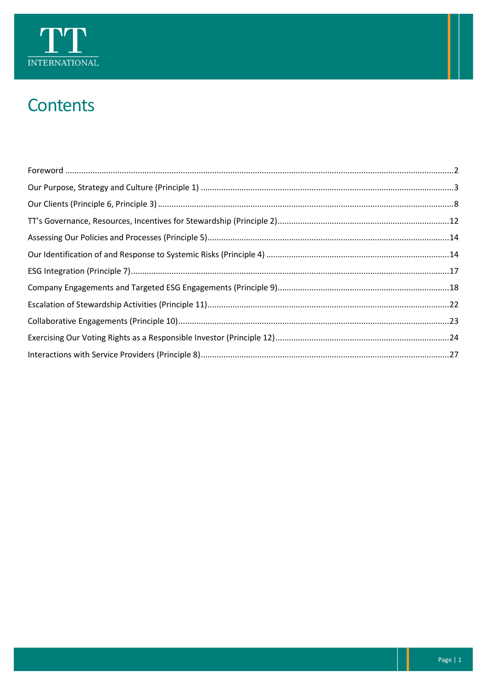

## Contents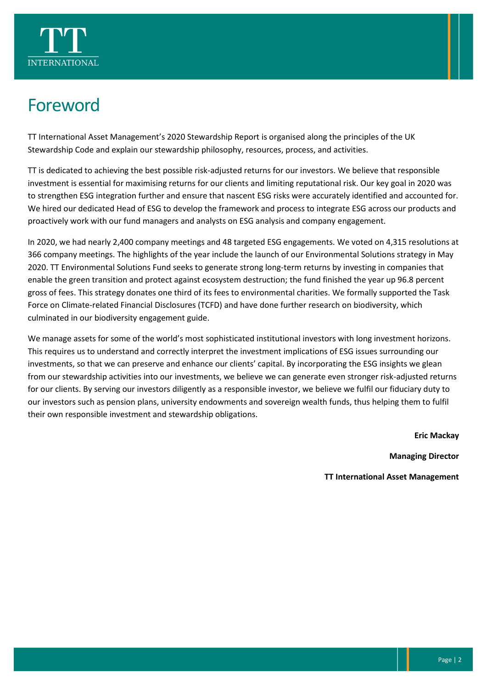

### <span id="page-2-0"></span>Foreword

TT International Asset Management's 2020 Stewardship Report is organised along the principles of the UK Stewardship Code and explain our stewardship philosophy, resources, process, and activities.

TT is dedicated to achieving the best possible risk-adjusted returns for our investors. We believe that responsible investment is essential for maximising returns for our clients and limiting reputational risk. Our key goal in 2020 was to strengthen ESG integration further and ensure that nascent ESG risks were accurately identified and accounted for. We hired our dedicated Head of ESG to develop the framework and process to integrate ESG across our products and proactively work with our fund managers and analysts on ESG analysis and company engagement.

In 2020, we had nearly 2,400 company meetings and 48 targeted ESG engagements. We voted on 4,315 resolutions at 366 company meetings. The highlights of the year include the launch of our Environmental Solutions strategy in May 2020. TT Environmental Solutions Fund seeks to generate strong long-term returns by investing in companies that enable the green transition and protect against ecosystem destruction; the fund finished the year up 96.8 percent gross of fees. This strategy donates one third of its fees to environmental charities. We formally supported the Task Force on Climate-related Financial Disclosures (TCFD) and have done further research on biodiversity, which culminated in our biodiversity engagement guide.

We manage assets for some of the world's most sophisticated institutional investors with long investment horizons. This requires us to understand and correctly interpret the investment implications of ESG issues surrounding our investments, so that we can preserve and enhance our clients' capital. By incorporating the ESG insights we glean from our stewardship activities into our investments, we believe we can generate even stronger risk-adjusted returns for our clients. By serving our investors diligently as a responsible investor, we believe we fulfil our fiduciary duty to our investors such as pension plans, university endowments and sovereign wealth funds, thus helping them to fulfil their own responsible investment and stewardship obligations.

**Eric Mackay**

**Managing Director**

**TT International Asset Management**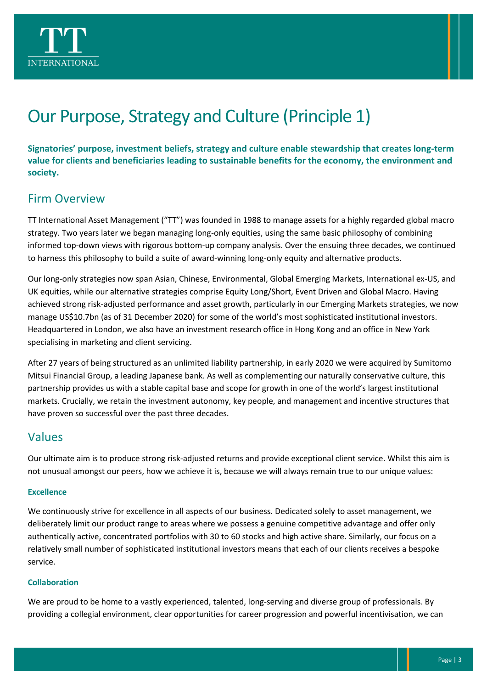

# <span id="page-3-0"></span>Our Purpose, Strategy and Culture (Principle 1)

**Signatories' purpose, investment beliefs, strategy and culture enable stewardship that creates long-term value for clients and beneficiaries leading to sustainable benefits for the economy, the environment and society.**

#### Firm Overview

TT International Asset Management ("TT") was founded in 1988 to manage assets for a highly regarded global macro strategy. Two years later we began managing long-only equities, using the same basic philosophy of combining informed top-down views with rigorous bottom-up company analysis. Over the ensuing three decades, we continued to harness this philosophy to build a suite of award-winning long-only equity and alternative products.

Our long-only strategies now span Asian, Chinese, Environmental, Global Emerging Markets, International ex-US, and UK equities, while our alternative strategies comprise Equity Long/Short, Event Driven and Global Macro. Having achieved strong risk-adjusted performance and asset growth, particularly in our Emerging Markets strategies, we now manage US\$10.7bn (as of 31 December 2020) for some of the world's most sophisticated institutional investors. Headquartered in London, we also have an investment research office in Hong Kong and an office in New York specialising in marketing and client servicing.

After 27 years of being structured as an unlimited liability partnership, in early 2020 we were acquired by Sumitomo Mitsui Financial Group, a leading Japanese bank. As well as complementing our naturally conservative culture, this partnership provides us with a stable capital base and scope for growth in one of the world's largest institutional markets. Crucially, we retain the investment autonomy, key people, and management and incentive structures that have proven so successful over the past three decades.

#### Values

Our ultimate aim is to produce strong risk-adjusted returns and provide exceptional client service. Whilst this aim is not unusual amongst our peers, how we achieve it is, because we will always remain true to our unique values:

#### **Excellence**

We continuously strive for excellence in all aspects of our business. Dedicated solely to asset management, we deliberately limit our product range to areas where we possess a genuine competitive advantage and offer only authentically active, concentrated portfolios with 30 to 60 stocks and high active share. Similarly, our focus on a relatively small number of sophisticated institutional investors means that each of our clients receives a bespoke service.

#### **Collaboration**

We are proud to be home to a vastly experienced, talented, long-serving and diverse group of professionals. By providing a collegial environment, clear opportunities for career progression and powerful incentivisation, we can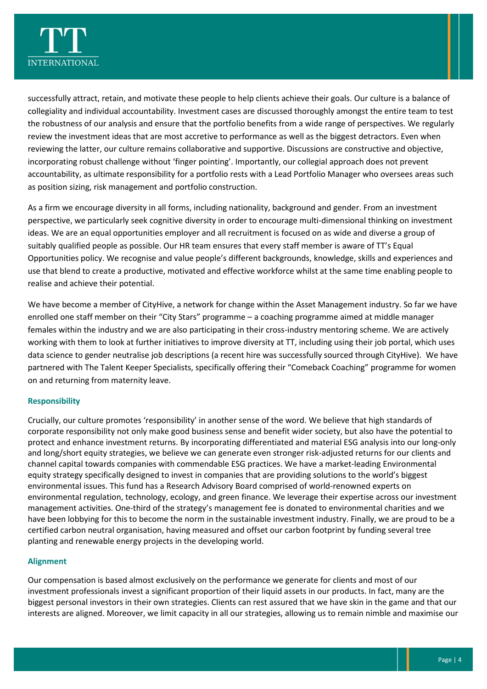

successfully attract, retain, and motivate these people to help clients achieve their goals. Our culture is a balance of collegiality and individual accountability. Investment cases are discussed thoroughly amongst the entire team to test the robustness of our analysis and ensure that the portfolio benefits from a wide range of perspectives. We regularly review the investment ideas that are most accretive to performance as well as the biggest detractors. Even when reviewing the latter, our culture remains collaborative and supportive. Discussions are constructive and objective, incorporating robust challenge without 'finger pointing'. Importantly, our collegial approach does not prevent accountability, as ultimate responsibility for a portfolio rests with a Lead Portfolio Manager who oversees areas such as position sizing, risk management and portfolio construction.

As a firm we encourage diversity in all forms, including nationality, background and gender. From an investment perspective, we particularly seek cognitive diversity in order to encourage multi-dimensional thinking on investment ideas. We are an equal opportunities employer and all recruitment is focused on as wide and diverse a group of suitably qualified people as possible. Our HR team ensures that every staff member is aware of TT's Equal Opportunities policy. We recognise and value people's different backgrounds, knowledge, skills and experiences and use that blend to create a productive, motivated and effective workforce whilst at the same time enabling people to realise and achieve their potential.

We have become a member of CityHive, a network for change within the Asset Management industry. So far we have enrolled one staff member on their "City Stars" programme – a coaching programme aimed at middle manager females within the industry and we are also participating in their cross-industry mentoring scheme. We are actively working with them to look at further initiatives to improve diversity at TT, including using their job portal, which uses data science to gender neutralise job descriptions (a recent hire was successfully sourced through CityHive). We have partnered with The Talent Keeper Specialists, specifically offering their "Comeback Coaching" programme for women on and returning from maternity leave.

#### **Responsibility**

Crucially, our culture promotes 'responsibility' in another sense of the word. We believe that high standards of corporate responsibility not only make good business sense and benefit wider society, but also have the potential to protect and enhance investment returns. By incorporating differentiated and material ESG analysis into our long-only and long/short equity strategies, we believe we can generate even stronger risk-adjusted returns for our clients and channel capital towards companies with commendable ESG practices. We have a market-leading Environmental equity strategy specifically designed to invest in companies that are providing solutions to the world's biggest environmental issues. This fund has a Research Advisory Board comprised of world-renowned experts on environmental regulation, technology, ecology, and green finance. We leverage their expertise across our investment management activities. One-third of the strategy's management fee is donated to environmental charities and we have been lobbying for this to become the norm in the sustainable investment industry. Finally, we are proud to be a certified carbon neutral organisation, having measured and offset our carbon footprint by funding several tree planting and renewable energy projects in the developing world.

#### **Alignment**

Our compensation is based almost exclusively on the performance we generate for clients and most of our investment professionals invest a significant proportion of their liquid assets in our products. In fact, many are the biggest personal investors in their own strategies. Clients can rest assured that we have skin in the game and that our interests are aligned. Moreover, we limit capacity in all our strategies, allowing us to remain nimble and maximise our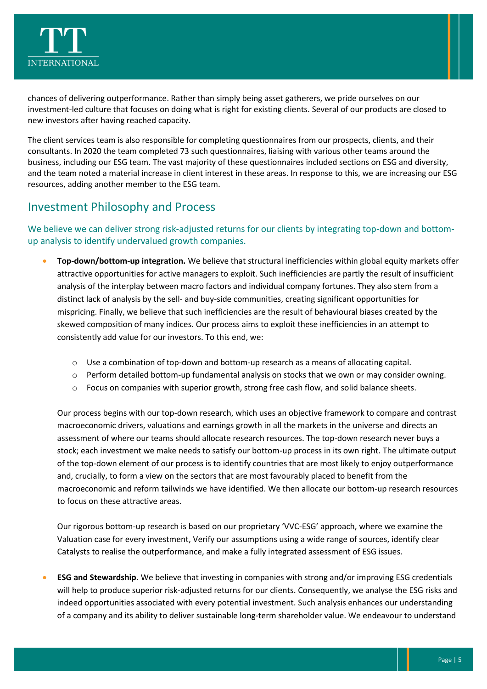

chances of delivering outperformance. Rather than simply being asset gatherers, we pride ourselves on our investment-led culture that focuses on doing what is right for existing clients. Several of our products are closed to new investors after having reached capacity.

The client services team is also responsible for completing questionnaires from our prospects, clients, and their consultants. In 2020 the team completed 73 such questionnaires, liaising with various other teams around the business, including our ESG team. The vast majority of these questionnaires included sections on ESG and diversity, and the team noted a material increase in client interest in these areas. In response to this, we are increasing our ESG resources, adding another member to the ESG team.

#### Investment Philosophy and Process

#### We believe we can deliver strong risk-adjusted returns for our clients by integrating top-down and bottomup analysis to identify undervalued growth companies.

- **Top-down/bottom-up integration.** We believe that structural inefficiencies within global equity markets offer attractive opportunities for active managers to exploit. Such inefficiencies are partly the result of insufficient analysis of the interplay between macro factors and individual company fortunes. They also stem from a distinct lack of analysis by the sell- and buy-side communities, creating significant opportunities for mispricing. Finally, we believe that such inefficiencies are the result of behavioural biases created by the skewed composition of many indices. Our process aims to exploit these inefficiencies in an attempt to consistently add value for our investors. To this end, we:
	- o Use a combination of top-down and bottom-up research as a means of allocating capital.
	- o Perform detailed bottom-up fundamental analysis on stocks that we own or may consider owning.
	- o Focus on companies with superior growth, strong free cash flow, and solid balance sheets.

Our process begins with our top-down research, which uses an objective framework to compare and contrast macroeconomic drivers, valuations and earnings growth in all the markets in the universe and directs an assessment of where our teams should allocate research resources. The top-down research never buys a stock; each investment we make needs to satisfy our bottom-up process in its own right. The ultimate output of the top-down element of our process is to identify countries that are most likely to enjoy outperformance and, crucially, to form a view on the sectors that are most favourably placed to benefit from the macroeconomic and reform tailwinds we have identified. We then allocate our bottom-up research resources to focus on these attractive areas.

Our rigorous bottom-up research is based on our proprietary 'VVC-ESG' approach, where we examine the Valuation case for every investment, Verify our assumptions using a wide range of sources, identify clear Catalysts to realise the outperformance, and make a fully integrated assessment of ESG issues.

• **ESG and Stewardship.** We believe that investing in companies with strong and/or improving ESG credentials will help to produce superior risk-adjusted returns for our clients. Consequently, we analyse the ESG risks and indeed opportunities associated with every potential investment. Such analysis enhances our understanding of a company and its ability to deliver sustainable long-term shareholder value. We endeavour to understand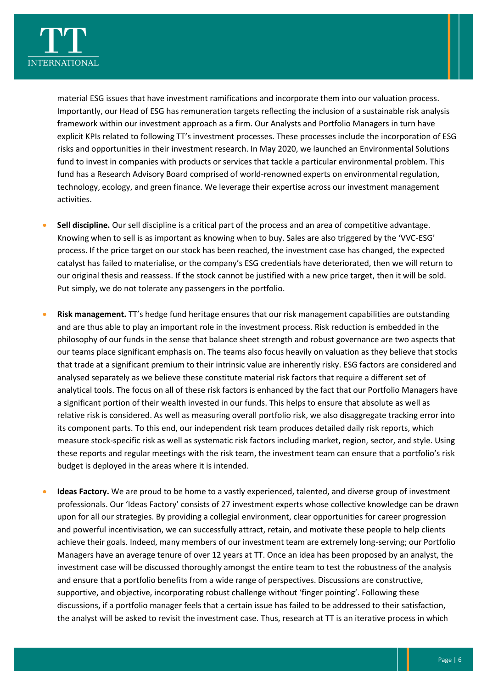

material ESG issues that have investment ramifications and incorporate them into our valuation process. Importantly, our Head of ESG has remuneration targets reflecting the inclusion of a sustainable risk analysis framework within our investment approach as a firm. Our Analysts and Portfolio Managers in turn have explicit KPIs related to following TT's investment processes. These processes include the incorporation of ESG risks and opportunities in their investment research. In May 2020, we launched an Environmental Solutions fund to invest in companies with products or services that tackle a particular environmental problem. This fund has a Research Advisory Board comprised of world-renowned experts on environmental regulation, technology, ecology, and green finance. We leverage their expertise across our investment management activities.

- **Sell discipline.** Our sell discipline is a critical part of the process and an area of competitive advantage. Knowing when to sell is as important as knowing when to buy. Sales are also triggered by the 'VVC-ESG' process. If the price target on our stock has been reached, the investment case has changed, the expected catalyst has failed to materialise, or the company's ESG credentials have deteriorated, then we will return to our original thesis and reassess. If the stock cannot be justified with a new price target, then it will be sold. Put simply, we do not tolerate any passengers in the portfolio.
- **Risk management.** TT's hedge fund heritage ensures that our risk management capabilities are outstanding and are thus able to play an important role in the investment process. Risk reduction is embedded in the philosophy of our funds in the sense that balance sheet strength and robust governance are two aspects that our teams place significant emphasis on. The teams also focus heavily on valuation as they believe that stocks that trade at a significant premium to their intrinsic value are inherently risky. ESG factors are considered and analysed separately as we believe these constitute material risk factors that require a different set of analytical tools. The focus on all of these risk factors is enhanced by the fact that our Portfolio Managers have a significant portion of their wealth invested in our funds. This helps to ensure that absolute as well as relative risk is considered. As well as measuring overall portfolio risk, we also disaggregate tracking error into its component parts. To this end, our independent risk team produces detailed daily risk reports, which measure stock-specific risk as well as systematic risk factors including market, region, sector, and style. Using these reports and regular meetings with the risk team, the investment team can ensure that a portfolio's risk budget is deployed in the areas where it is intended.
- **Ideas Factory.** We are proud to be home to a vastly experienced, talented, and diverse group of investment professionals. Our 'Ideas Factory' consists of 27 investment experts whose collective knowledge can be drawn upon for all our strategies. By providing a collegial environment, clear opportunities for career progression and powerful incentivisation, we can successfully attract, retain, and motivate these people to help clients achieve their goals. Indeed, many members of our investment team are extremely long-serving; our Portfolio Managers have an average tenure of over 12 years at TT. Once an idea has been proposed by an analyst, the investment case will be discussed thoroughly amongst the entire team to test the robustness of the analysis and ensure that a portfolio benefits from a wide range of perspectives. Discussions are constructive, supportive, and objective, incorporating robust challenge without 'finger pointing'. Following these discussions, if a portfolio manager feels that a certain issue has failed to be addressed to their satisfaction, the analyst will be asked to revisit the investment case. Thus, research at TT is an iterative process in which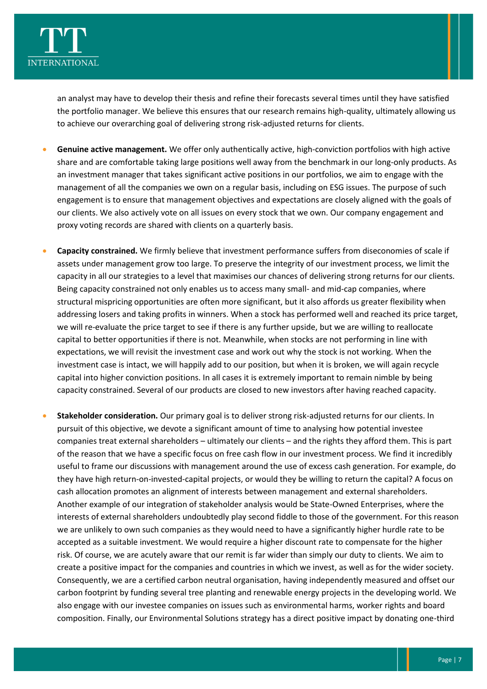

an analyst may have to develop their thesis and refine their forecasts several times until they have satisfied the portfolio manager. We believe this ensures that our research remains high-quality, ultimately allowing us to achieve our overarching goal of delivering strong risk-adjusted returns for clients.

- **Genuine active management.** We offer only authentically active, high-conviction portfolios with high active share and are comfortable taking large positions well away from the benchmark in our long-only products. As an investment manager that takes significant active positions in our portfolios, we aim to engage with the management of all the companies we own on a regular basis, including on ESG issues. The purpose of such engagement is to ensure that management objectives and expectations are closely aligned with the goals of our clients. We also actively vote on all issues on every stock that we own. Our company engagement and proxy voting records are shared with clients on a quarterly basis.
- **Capacity constrained.** We firmly believe that investment performance suffers from diseconomies of scale if assets under management grow too large. To preserve the integrity of our investment process, we limit the capacity in all our strategies to a level that maximises our chances of delivering strong returns for our clients. Being capacity constrained not only enables us to access many small- and mid-cap companies, where structural mispricing opportunities are often more significant, but it also affords us greater flexibility when addressing losers and taking profits in winners. When a stock has performed well and reached its price target, we will re-evaluate the price target to see if there is any further upside, but we are willing to reallocate capital to better opportunities if there is not. Meanwhile, when stocks are not performing in line with expectations, we will revisit the investment case and work out why the stock is not working. When the investment case is intact, we will happily add to our position, but when it is broken, we will again recycle capital into higher conviction positions. In all cases it is extremely important to remain nimble by being capacity constrained. Several of our products are closed to new investors after having reached capacity.
- **Stakeholder consideration.** Our primary goal is to deliver strong risk-adjusted returns for our clients. In pursuit of this objective, we devote a significant amount of time to analysing how potential investee companies treat external shareholders – ultimately our clients – and the rights they afford them. This is part of the reason that we have a specific focus on free cash flow in our investment process. We find it incredibly useful to frame our discussions with management around the use of excess cash generation. For example, do they have high return-on-invested-capital projects, or would they be willing to return the capital? A focus on cash allocation promotes an alignment of interests between management and external shareholders. Another example of our integration of stakeholder analysis would be State-Owned Enterprises, where the interests of external shareholders undoubtedly play second fiddle to those of the government. For this reason we are unlikely to own such companies as they would need to have a significantly higher hurdle rate to be accepted as a suitable investment. We would require a higher discount rate to compensate for the higher risk. Of course, we are acutely aware that our remit is far wider than simply our duty to clients. We aim to create a positive impact for the companies and countries in which we invest, as well as for the wider society. Consequently, we are a certified carbon neutral organisation, having independently measured and offset our carbon footprint by funding several tree planting and renewable energy projects in the developing world. We also engage with our investee companies on issues such as environmental harms, worker rights and board composition. Finally, our Environmental Solutions strategy has a direct positive impact by donating one-third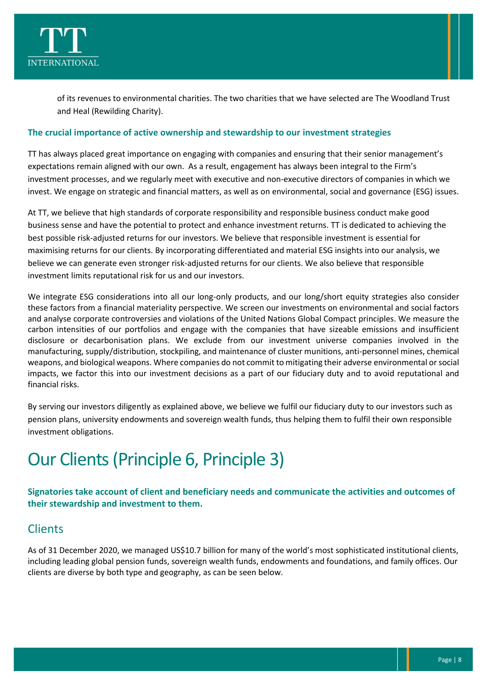

of its revenues to environmental charities. The two charities that we have selected are The Woodland Trust and Heal (Rewilding Charity).

#### **The crucial importance of active ownership and stewardship to our investment strategies**

TT has always placed great importance on engaging with companies and ensuring that their senior management's expectations remain aligned with our own. As a result, engagement has always been integral to the Firm's investment processes, and we regularly meet with executive and non-executive directors of companies in which we invest. We engage on strategic and financial matters, as well as on environmental, social and governance (ESG) issues.

At TT, we believe that high standards of corporate responsibility and responsible business conduct make good business sense and have the potential to protect and enhance investment returns. TT is dedicated to achieving the best possible risk-adjusted returns for our investors. We believe that responsible investment is essential for maximising returns for our clients. By incorporating differentiated and material ESG insights into our analysis, we believe we can generate even stronger risk-adjusted returns for our clients. We also believe that responsible investment limits reputational risk for us and our investors.

We integrate ESG considerations into all our long-only products, and our long/short equity strategies also consider these factors from a financial materiality perspective. We screen our investments on environmental and social factors and analyse corporate controversies and violations of the United Nations Global Compact principles. We measure the carbon intensities of our portfolios and engage with the companies that have sizeable emissions and insufficient disclosure or decarbonisation plans. We exclude from our investment universe companies involved in the manufacturing, supply/distribution, stockpiling, and maintenance of cluster munitions, anti-personnel mines, chemical weapons, and biological weapons. Where companies do not commit to mitigating their adverse environmental or social impacts, we factor this into our investment decisions as a part of our fiduciary duty and to avoid reputational and financial risks.

By serving our investors diligently as explained above, we believe we fulfil our fiduciary duty to our investors such as pension plans, university endowments and sovereign wealth funds, thus helping them to fulfil their own responsible investment obligations.

### <span id="page-8-0"></span>Our Clients(Principle 6, Principle 3)

#### **Signatories take account of client and beneficiary needs and communicate the activities and outcomes of their stewardship and investment to them.**

#### Clients

As of 31 December 2020, we managed US\$10.7 billion for many of the world's most sophisticated institutional clients, including leading global pension funds, sovereign wealth funds, endowments and foundations, and family offices. Our clients are diverse by both type and geography, as can be seen below.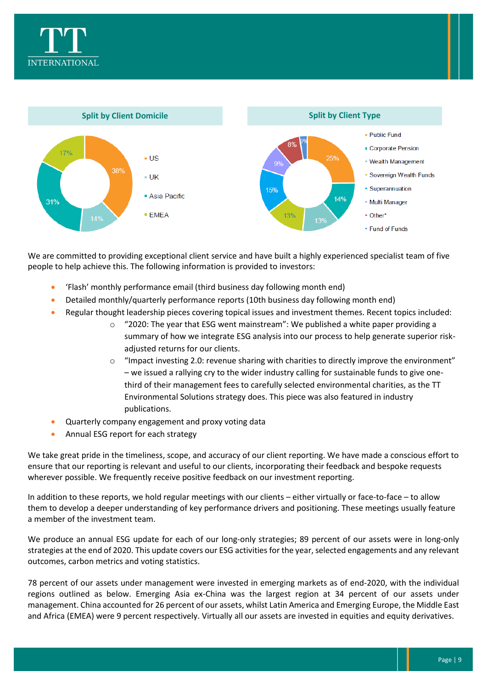



We are committed to providing exceptional client service and have built a highly experienced specialist team of five people to help achieve this. The following information is provided to investors:

- 'Flash' monthly performance email (third business day following month end)
- Detailed monthly/quarterly performance reports (10th business day following month end)
- Regular thought leadership pieces covering topical issues and investment themes. Recent topics included:
	- $\circ$  "2020: The year that ESG went mainstream": We published a white paper providing a summary of how we integrate ESG analysis into our process to help generate superior riskadjusted returns for our clients.
	- o "Impact investing 2.0: revenue sharing with charities to directly improve the environment" – we issued a rallying cry to the wider industry calling for sustainable funds to give onethird of their management fees to carefully selected environmental charities, as the TT Environmental Solutions strategy does. This piece was also featured in industry publications.
- Quarterly company engagement and proxy voting data
- Annual ESG report for each strategy

We take great pride in the timeliness, scope, and accuracy of our client reporting. We have made a conscious effort to ensure that our reporting is relevant and useful to our clients, incorporating their feedback and bespoke requests wherever possible. We frequently receive positive feedback on our investment reporting.

In addition to these reports, we hold regular meetings with our clients – either virtually or face-to-face – to allow them to develop a deeper understanding of key performance drivers and positioning. These meetings usually feature a member of the investment team.

We produce an annual ESG update for each of our long-only strategies; 89 percent of our assets were in long-only strategies at the end of 2020. This update covers our ESG activities for the year, selected engagements and any relevant outcomes, carbon metrics and voting statistics.

78 percent of our assets under management were invested in emerging markets as of end-2020, with the individual regions outlined as below. Emerging Asia ex-China was the largest region at 34 percent of our assets under management. China accounted for 26 percent of our assets, whilst Latin America and Emerging Europe, the Middle East and Africa (EMEA) were 9 percent respectively. Virtually all our assets are invested in equities and equity derivatives.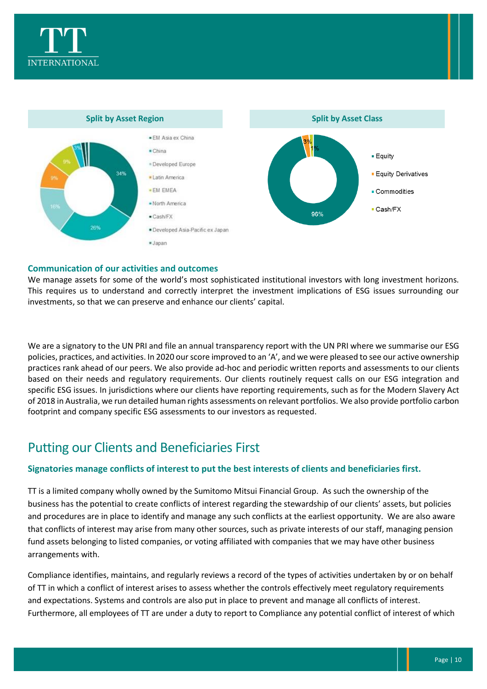



#### **Communication of our activities and outcomes**

We manage assets for some of the world's most sophisticated institutional investors with long investment horizons. This requires us to understand and correctly interpret the investment implications of ESG issues surrounding our investments, so that we can preserve and enhance our clients' capital.

We are a signatory to the UN PRI and file an annual transparency report with the UN PRI where we summarise our ESG policies, practices, and activities. In 2020 our score improved to an 'A', and we were pleased to see our active ownership practices rank ahead of our peers. We also provide ad-hoc and periodic written reports and assessments to our clients based on their needs and regulatory requirements. Our clients routinely request calls on our ESG integration and specific ESG issues. In jurisdictions where our clients have reporting requirements, such as for the Modern Slavery Act of 2018 in Australia, we run detailed human rights assessments on relevant portfolios. We also provide portfolio carbon footprint and company specific ESG assessments to our investors as requested.

#### Putting our Clients and Beneficiaries First

#### **Signatories manage conflicts of interest to put the best interests of clients and beneficiaries first.**

TT is a limited company wholly owned by the Sumitomo Mitsui Financial Group. As such the ownership of the business has the potential to create conflicts of interest regarding the stewardship of our clients' assets, but policies and procedures are in place to identify and manage any such conflicts at the earliest opportunity. We are also aware that conflicts of interest may arise from many other sources, such as private interests of our staff, managing pension fund assets belonging to listed companies, or voting affiliated with companies that we may have other business arrangements with.

Compliance identifies, maintains, and regularly reviews a record of the types of activities undertaken by or on behalf of TT in which a conflict of interest arises to assess whether the controls effectively meet regulatory requirements and expectations. Systems and controls are also put in place to prevent and manage all conflicts of interest. Furthermore, all employees of TT are under a duty to report to Compliance any potential conflict of interest of which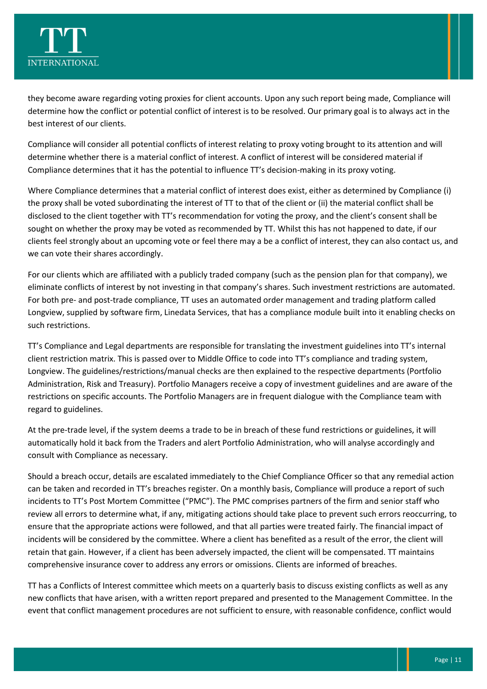

they become aware regarding voting proxies for client accounts. Upon any such report being made, Compliance will determine how the conflict or potential conflict of interest is to be resolved. Our primary goal is to always act in the best interest of our clients.

Compliance will consider all potential conflicts of interest relating to proxy voting brought to its attention and will determine whether there is a material conflict of interest. A conflict of interest will be considered material if Compliance determines that it has the potential to influence TT's decision-making in its proxy voting.

Where Compliance determines that a material conflict of interest does exist, either as determined by Compliance (i) the proxy shall be voted subordinating the interest of TT to that of the client or (ii) the material conflict shall be disclosed to the client together with TT's recommendation for voting the proxy, and the client's consent shall be sought on whether the proxy may be voted as recommended by TT. Whilst this has not happened to date, if our clients feel strongly about an upcoming vote or feel there may a be a conflict of interest, they can also contact us, and we can vote their shares accordingly.

For our clients which are affiliated with a publicly traded company (such as the pension plan for that company), we eliminate conflicts of interest by not investing in that company's shares. Such investment restrictions are automated. For both pre- and post-trade compliance, TT uses an automated order management and trading platform called Longview, supplied by software firm, Linedata Services, that has a compliance module built into it enabling checks on such restrictions.

TT's Compliance and Legal departments are responsible for translating the investment guidelines into TT's internal client restriction matrix. This is passed over to Middle Office to code into TT's compliance and trading system, Longview. The guidelines/restrictions/manual checks are then explained to the respective departments (Portfolio Administration, Risk and Treasury). Portfolio Managers receive a copy of investment guidelines and are aware of the restrictions on specific accounts. The Portfolio Managers are in frequent dialogue with the Compliance team with regard to guidelines.

At the pre-trade level, if the system deems a trade to be in breach of these fund restrictions or guidelines, it will automatically hold it back from the Traders and alert Portfolio Administration, who will analyse accordingly and consult with Compliance as necessary.

Should a breach occur, details are escalated immediately to the Chief Compliance Officer so that any remedial action can be taken and recorded in TT's breaches register. On a monthly basis, Compliance will produce a report of such incidents to TT's Post Mortem Committee ("PMC"). The PMC comprises partners of the firm and senior staff who review all errors to determine what, if any, mitigating actions should take place to prevent such errors reoccurring, to ensure that the appropriate actions were followed, and that all parties were treated fairly. The financial impact of incidents will be considered by the committee. Where a client has benefited as a result of the error, the client will retain that gain. However, if a client has been adversely impacted, the client will be compensated. TT maintains comprehensive insurance cover to address any errors or omissions. Clients are informed of breaches.

TT has a Conflicts of Interest committee which meets on a quarterly basis to discuss existing conflicts as well as any new conflicts that have arisen, with a written report prepared and presented to the Management Committee. In the event that conflict management procedures are not sufficient to ensure, with reasonable confidence, conflict would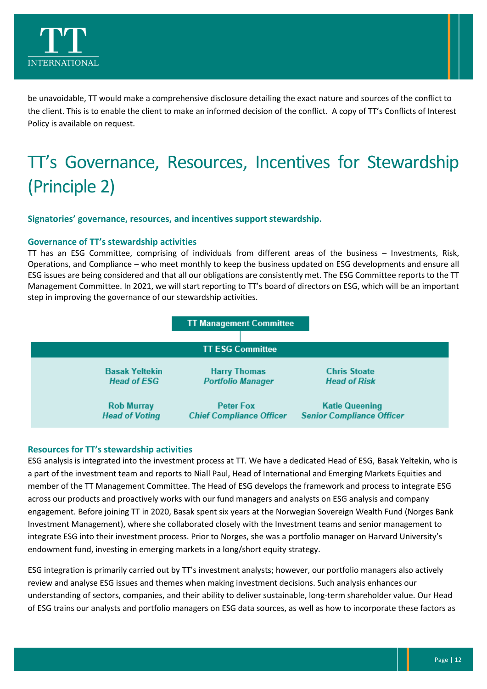

be unavoidable, TT would make a comprehensive disclosure detailing the exact nature and sources of the conflict to the client. This is to enable the client to make an informed decision of the conflict. A copy of TT's Conflicts of Interest Policy is available on request.

# <span id="page-12-0"></span>TT's Governance, Resources, Incentives for Stewardship (Principle 2)

**Signatories' governance, resources, and incentives support stewardship.**

#### **Governance of TT's stewardship activities**

TT has an ESG Committee, comprising of individuals from different areas of the business – Investments, Risk, Operations, and Compliance – who meet monthly to keep the business updated on ESG developments and ensure all ESG issues are being considered and that all our obligations are consistently met. The ESG Committee reports to the TT Management Committee. In 2021, we will start reporting to TT's board of directors on ESG, which will be an important step in improving the governance of our stewardship activities.



#### **Resources for TT's stewardship activities**

ESG analysis is integrated into the investment process at TT. We have a dedicated Head of ESG, Basak Yeltekin, who is a part of the investment team and reports to Niall Paul, Head of International and Emerging Markets Equities and member of the TT Management Committee. The Head of ESG develops the framework and process to integrate ESG across our products and proactively works with our fund managers and analysts on ESG analysis and company engagement. Before joining TT in 2020, Basak spent six years at the Norwegian Sovereign Wealth Fund (Norges Bank Investment Management), where she collaborated closely with the Investment teams and senior management to integrate ESG into their investment process. Prior to Norges, she was a portfolio manager on Harvard University's endowment fund, investing in emerging markets in a long/short equity strategy.

ESG integration is primarily carried out by TT's investment analysts; however, our portfolio managers also actively review and analyse ESG issues and themes when making investment decisions. Such analysis enhances our understanding of sectors, companies, and their ability to deliver sustainable, long-term shareholder value. Our Head of ESG trains our analysts and portfolio managers on ESG data sources, as well as how to incorporate these factors as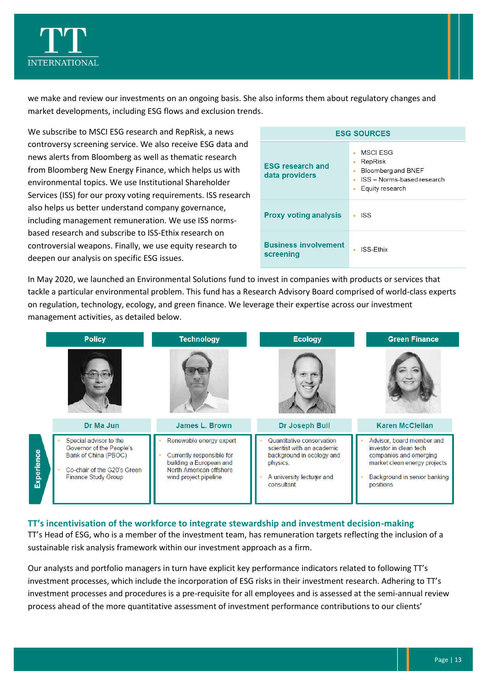

we make and review our investments on an ongoing basis. She also informs them about regulatory changes and market developments, including ESG flows and exclusion trends.

We subscribe to MSCI ESG research and RepRisk, a news controversy screening service. We also receive ESG data and news alerts from Bloomberg as well as thematic research from Bloomberg New Energy Finance, which helps us with environmental topics. We use Institutional Shareholder Services (ISS) for our proxy voting requirements. ISS research also helps us better understand company governance, including management remuneration. We use ISS normsbased research and subscribe to ISS-Ethix research on controversial weapons. Finally, we use equity research to deepen our analysis on specific ESG issues.

| <b>ESG SOURCES</b>                        |                                                                                                      |  |  |
|-------------------------------------------|------------------------------------------------------------------------------------------------------|--|--|
| <b>ESG research and</b><br>data providers | MSCI ESG<br>RepRisk<br>٠<br>Bloomberg and BNEF<br>ISS - Norms-based research<br>Equity research<br>٠ |  |  |
| <b>Proxy voting analysis</b>              | <b>ISS</b>                                                                                           |  |  |
| <b>Business involvement</b><br>screening  | ISS-Fthix                                                                                            |  |  |

In May 2020, we launched an Environmental Solutions fund to invest in companies with products or services that tackle a particular environmental problem. This fund has a Research Advisory Board comprised of world-class experts on regulation, technology, ecology, and green finance. We leverage their expertise across our investment management activities, as detailed below.

|            | <b>Policy</b>                                                                                                                           | <b>Technology</b><br><b>Ecology</b>                                                                                                 |                                                                                                                                             | <b>Green Finance</b>                                                                                                                                       |  |
|------------|-----------------------------------------------------------------------------------------------------------------------------------------|-------------------------------------------------------------------------------------------------------------------------------------|---------------------------------------------------------------------------------------------------------------------------------------------|------------------------------------------------------------------------------------------------------------------------------------------------------------|--|
|            |                                                                                                                                         |                                                                                                                                     |                                                                                                                                             |                                                                                                                                                            |  |
|            | Dr Ma Jun                                                                                                                               | <b>James L. Brown</b>                                                                                                               | Dr Joseph Bull                                                                                                                              | <b>Karen McClellan</b>                                                                                                                                     |  |
| Experience | Special advisor to the<br>Governor of the People's<br>Bank of China (PBOC)<br>Co-chair of the G20's Green<br><b>Finance Study Group</b> | Renewable energy expert<br>Currently responsible for<br>building a European and<br>North American offshore<br>wind project pipeline | Quantitative conservation<br>scientist with an academic<br>background in ecology and<br>physics.<br>A university lecturer and<br>consultant | Advisor, board member and<br>investor in clean tech<br>companies and emerging<br>market clean energy projects<br>Background in senior banking<br>positions |  |

#### **TT's incentivisation of the workforce to integrate stewardship and investment decision-making**

TT's Head of ESG, who is a member of the investment team, has remuneration targets reflecting the inclusion of a sustainable risk analysis framework within our investment approach as a firm.

Our analysts and portfolio managers in turn have explicit key performance indicators related to following TT's investment processes, which include the incorporation of ESG risks in their investment research. Adhering to TT's investment processes and procedures is a pre-requisite for all employees and is assessed at the semi-annual review process ahead of the more quantitative assessment of investment performance contributions to our clients'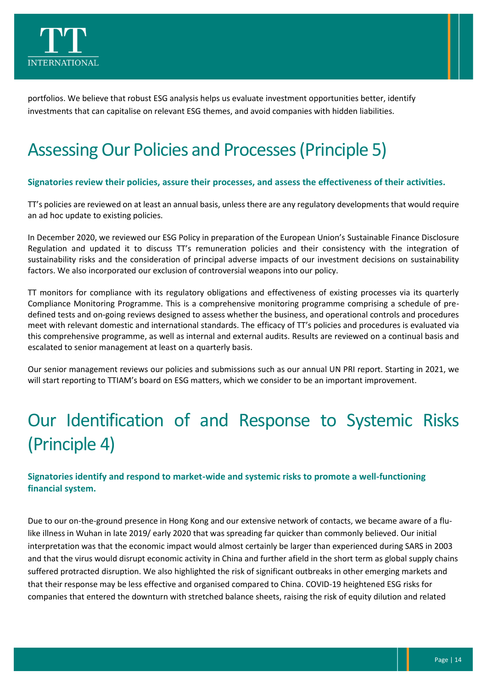

portfolios. We believe that robust ESG analysis helps us evaluate investment opportunities better, identify investments that can capitalise on relevant ESG themes, and avoid companies with hidden liabilities.

### <span id="page-14-0"></span>Assessing Our Policies and Processes(Principle 5)

#### **Signatories review their policies, assure their processes, and assess the effectiveness of their activities.**

TT's policies are reviewed on at least an annual basis, unless there are any regulatory developments that would require an ad hoc update to existing policies.

In December 2020, we reviewed our ESG Policy in preparation of the European Union's Sustainable Finance Disclosure Regulation and updated it to discuss TT's remuneration policies and their consistency with the integration of sustainability risks and the consideration of principal adverse impacts of our investment decisions on sustainability factors. We also incorporated our exclusion of controversial weapons into our policy.

TT monitors for compliance with its regulatory obligations and effectiveness of existing processes via its quarterly Compliance Monitoring Programme. This is a comprehensive monitoring programme comprising a schedule of predefined tests and on-going reviews designed to assess whether the business, and operational controls and procedures meet with relevant domestic and international standards. The efficacy of TT's policies and procedures is evaluated via this comprehensive programme, as well as internal and external audits. Results are reviewed on a continual basis and escalated to senior management at least on a quarterly basis.

Our senior management reviews our policies and submissions such as our annual UN PRI report. Starting in 2021, we will start reporting to TTIAM's board on ESG matters, which we consider to be an important improvement.

# <span id="page-14-1"></span>Our Identification of and Response to Systemic Risks (Principle 4)

#### **Signatories identify and respond to market-wide and systemic risks to promote a well-functioning financial system.**

Due to our on-the-ground presence in Hong Kong and our extensive network of contacts, we became aware of a flulike illness in Wuhan in late 2019/ early 2020 that was spreading far quicker than commonly believed. Our initial interpretation was that the economic impact would almost certainly be larger than experienced during SARS in 2003 and that the virus would disrupt economic activity in China and further afield in the short term as global supply chains suffered protracted disruption. We also highlighted the risk of significant outbreaks in other emerging markets and that their response may be less effective and organised compared to China. COVID-19 heightened ESG risks for companies that entered the downturn with stretched balance sheets, raising the risk of equity dilution and related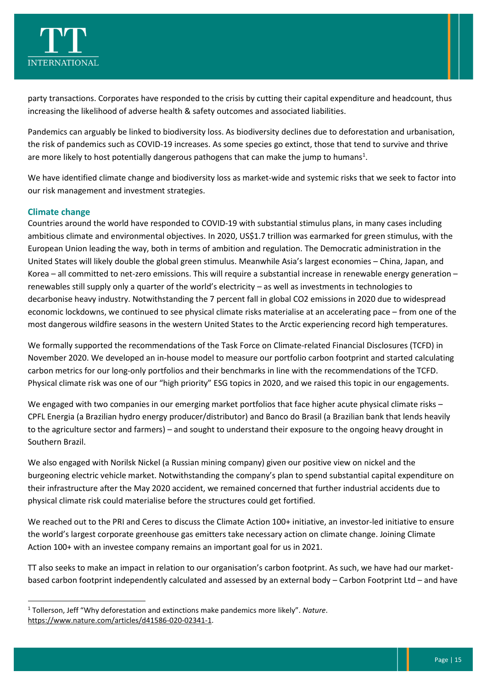

party transactions. Corporates have responded to the crisis by cutting their capital expenditure and headcount, thus increasing the likelihood of adverse health & safety outcomes and associated liabilities.

Pandemics can arguably be linked to biodiversity loss. As biodiversity declines due to deforestation and urbanisation, the risk of pandemics such as COVID-19 increases. As some species go extinct, those that tend to survive and thrive are more likely to host potentially dangerous pathogens that can make the jump to humans<sup>1</sup>.

We have identified climate change and biodiversity loss as market-wide and systemic risks that we seek to factor into our risk management and investment strategies.

#### **Climate change**

Countries around the world have responded to COVID-19 with substantial stimulus plans, in many cases including ambitious climate and environmental objectives. In 2020, US\$1.7 trillion was earmarked for green stimulus, with the European Union leading the way, both in terms of ambition and regulation. The Democratic administration in the United States will likely double the global green stimulus. Meanwhile Asia's largest economies – China, Japan, and Korea – all committed to net-zero emissions. This will require a substantial increase in renewable energy generation – renewables still supply only a quarter of the world's electricity – as well as investments in technologies to decarbonise heavy industry. Notwithstanding the 7 percent fall in global CO2 emissions in 2020 due to widespread economic lockdowns, we continued to see physical climate risks materialise at an accelerating pace – from one of the most dangerous wildfire seasons in the western United States to the Arctic experiencing record high temperatures.

We formally supported the recommendations of the Task Force on Climate-related Financial Disclosures (TCFD) in November 2020. We developed an in-house model to measure our portfolio carbon footprint and started calculating carbon metrics for our long-only portfolios and their benchmarks in line with the recommendations of the TCFD. Physical climate risk was one of our "high priority" ESG topics in 2020, and we raised this topic in our engagements.

We engaged with two companies in our emerging market portfolios that face higher acute physical climate risks – CPFL Energia (a Brazilian hydro energy producer/distributor) and Banco do Brasil (a Brazilian bank that lends heavily to the agriculture sector and farmers) – and sought to understand their exposure to the ongoing heavy drought in Southern Brazil.

We also engaged with Norilsk Nickel (a Russian mining company) given our positive view on nickel and the burgeoning electric vehicle market. Notwithstanding the company's plan to spend substantial capital expenditure on their infrastructure after the May 2020 accident, we remained concerned that further industrial accidents due to physical climate risk could materialise before the structures could get fortified.

We reached out to the PRI and Ceres to discuss the Climate Action 100+ initiative, an investor-led initiative to ensure the world's largest corporate greenhouse gas emitters take necessary action on climate change. Joining Climate Action 100+ with an investee company remains an important goal for us in 2021.

TT also seeks to make an impact in relation to our organisation's carbon footprint. As such, we have had our marketbased carbon footprint independently calculated and assessed by an external body – Carbon Footprint Ltd – and have

<sup>1</sup> Tollerson, Jeff "Why deforestation and extinctions make pandemics more likely". *Nature*. [https://www.nature.com/articles/d41586-020-02341-1.](https://www.nature.com/articles/d41586-020-02341-1)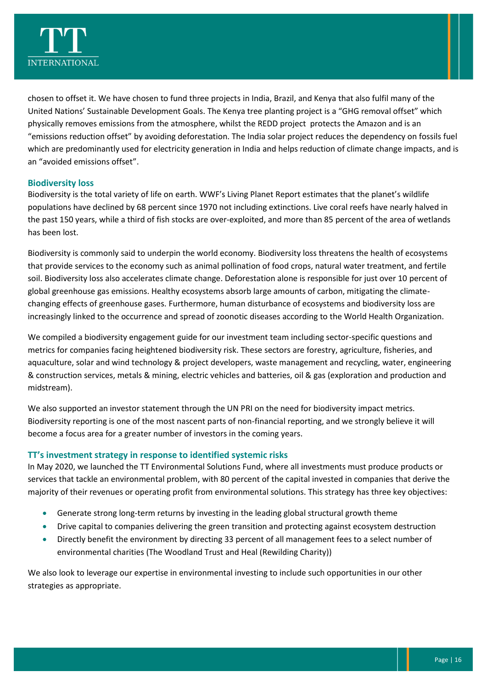

chosen to offset it. We have chosen to fund three projects in India, Brazil, and Kenya that also fulfil many of the United Nations' Sustainable Development Goals. The Kenya tree planting project is a "GHG removal offset" which physically removes emissions from the atmosphere, whilst the REDD project protects the Amazon and is an "emissions reduction offset" by avoiding deforestation. The India solar project reduces the dependency on fossils fuel which are predominantly used for electricity generation in India and helps reduction of climate change impacts, and is an "avoided emissions offset".

#### **Biodiversity loss**

Biodiversity is the total variety of life on earth. WWF's Living Planet Report estimates that the planet's wildlife populations have declined by 68 percent since 1970 not including extinctions. Live coral reefs have nearly halved in the past 150 years, while a third of fish stocks are over-exploited, and more than 85 percent of the area of wetlands has been lost.

Biodiversity is commonly said to underpin the world economy. Biodiversity loss threatens the health of ecosystems that provide services to the economy such as animal pollination of food crops, natural water treatment, and fertile soil. Biodiversity loss also accelerates climate change. Deforestation alone is responsible for just over 10 percent of global greenhouse gas emissions. Healthy ecosystems absorb large amounts of carbon, mitigating the climatechanging effects of greenhouse gases. Furthermore, human disturbance of ecosystems and biodiversity loss are increasingly linked to the occurrence and spread of zoonotic diseases according to the World Health Organization.

We compiled a biodiversity engagement guide for our investment team including sector-specific questions and metrics for companies facing heightened biodiversity risk. These sectors are forestry, agriculture, fisheries, and aquaculture, solar and wind technology & project developers, waste management and recycling, water, engineering & construction services, metals & mining, electric vehicles and batteries, oil & gas (exploration and production and midstream).

We also supported an investor statement through the UN PRI on the need for biodiversity impact metrics. Biodiversity reporting is one of the most nascent parts of non-financial reporting, and we strongly believe it will become a focus area for a greater number of investors in the coming years.

#### **TT's investment strategy in response to identified systemic risks**

In May 2020, we launched the TT Environmental Solutions Fund, where all investments must produce products or services that tackle an environmental problem, with 80 percent of the capital invested in companies that derive the majority of their revenues or operating profit from environmental solutions. This strategy has three key objectives:

- Generate strong long-term returns by investing in the leading global structural growth theme
- Drive capital to companies delivering the green transition and protecting against ecosystem destruction
- Directly benefit the environment by directing 33 percent of all management fees to a select number of environmental charities (The Woodland Trust and Heal (Rewilding Charity))

We also look to leverage our expertise in environmental investing to include such opportunities in our other strategies as appropriate.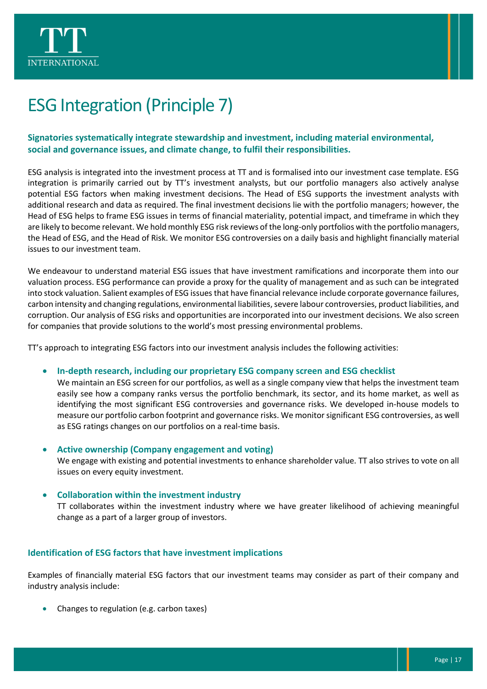



## <span id="page-17-0"></span>ESG Integration (Principle 7)

#### **Signatories systematically integrate stewardship and investment, including material environmental, social and governance issues, and climate change, to fulfil their responsibilities.**

ESG analysis is integrated into the investment process at TT and is formalised into our investment case template. ESG integration is primarily carried out by TT's investment analysts, but our portfolio managers also actively analyse potential ESG factors when making investment decisions. The Head of ESG supports the investment analysts with additional research and data as required. The final investment decisions lie with the portfolio managers; however, the Head of ESG helps to frame ESG issues in terms of financial materiality, potential impact, and timeframe in which they are likely to become relevant. We hold monthly ESG risk reviews of the long-only portfolios with the portfolio managers, the Head of ESG, and the Head of Risk. We monitor ESG controversies on a daily basis and highlight financially material issues to our investment team.

We endeavour to understand material ESG issues that have investment ramifications and incorporate them into our valuation process. ESG performance can provide a proxy for the quality of management and as such can be integrated into stock valuation. Salient examples of ESG issues that have financial relevance include corporate governance failures, carbon intensity and changing regulations, environmental liabilities, severe labour controversies, product liabilities, and corruption. Our analysis of ESG risks and opportunities are incorporated into our investment decisions. We also screen for companies that provide solutions to the world's most pressing environmental problems.

TT's approach to integrating ESG factors into our investment analysis includes the following activities:

• **In-depth research, including our proprietary ESG company screen and ESG checklist** 

We maintain an ESG screen for our portfolios, as well as a single company view that helps the investment team easily see how a company ranks versus the portfolio benchmark, its sector, and its home market, as well as identifying the most significant ESG controversies and governance risks. We developed in-house models to measure our portfolio carbon footprint and governance risks. We monitor significant ESG controversies, as well as ESG ratings changes on our portfolios on a real-time basis.

• **Active ownership (Company engagement and voting)**

We engage with existing and potential investments to enhance shareholder value. TT also strives to vote on all issues on every equity investment.

#### • **Collaboration within the investment industry**

TT collaborates within the investment industry where we have greater likelihood of achieving meaningful change as a part of a larger group of investors.

#### **Identification of ESG factors that have investment implications**

Examples of financially material ESG factors that our investment teams may consider as part of their company and industry analysis include:

• Changes to regulation (e.g. carbon taxes)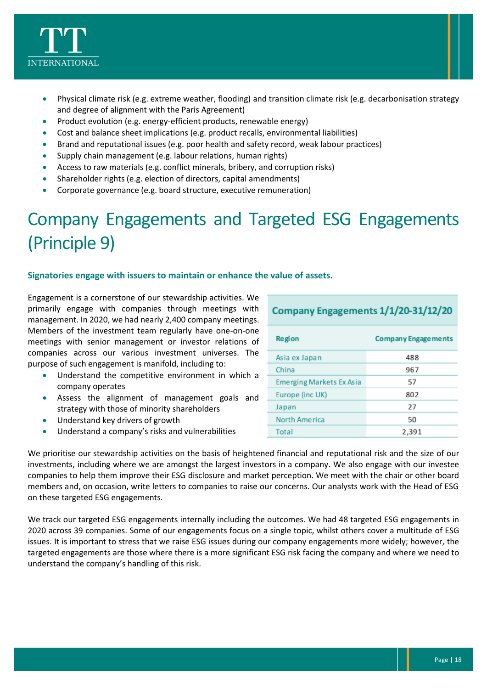

- Physical climate risk (e.g. extreme weather, flooding) and transition climate risk (e.g. decarbonisation strategy and degree of alignment with the Paris Agreement)
- Product evolution (e.g. energy-efficient products, renewable energy)
- Cost and balance sheet implications (e.g. product recalls, environmental liabilities)
- Brand and reputational issues (e.g. poor health and safety record, weak labour practices)
- Supply chain management (e.g. labour relations, human rights)
- Access to raw materials (e.g. conflict minerals, bribery, and corruption risks)
- Shareholder rights (e.g. election of directors, capital amendments)
- Corporate governance (e.g. board structure, executive remuneration)

# <span id="page-18-0"></span>Company Engagements and Targeted ESG Engagements (Principle 9)

#### **Signatories engage with issuers to maintain or enhance the value of assets.**

Engagement is a cornerstone of our stewardship activities. We primarily engage with companies through meetings with management. In 2020, we had nearly 2,400 company meetings. Members of the investment team regularly have one-on-one meetings with senior management or investor relations of companies across our various investment universes. The purpose of such engagement is manifold, including to:

- Understand the competitive environment in which a company operates
- Assess the alignment of management goals and strategy with those of minority shareholders
- Understand key drivers of growth
- Understand a company's risks and vulnerabilities

| Company Engagements 1/1/20-31/12/20 |                            |  |
|-------------------------------------|----------------------------|--|
| Region                              | <b>Company Engagements</b> |  |
| Asia ex Japan                       | 488                        |  |
| China                               | 967                        |  |
| <b>Emerging Markets Ex Asia</b>     | 57                         |  |
| Europe (inc UK)                     | 802                        |  |
| Japan                               | 27                         |  |
| North America                       | 50                         |  |
| Total                               | 2,391                      |  |

We prioritise our stewardship activities on the basis of heightened financial and reputational risk and the size of our investments, including where we are amongst the largest investors in a company. We also engage with our investee companies to help them improve their ESG disclosure and market perception. We meet with the chair or other board members and, on occasion, write letters to companies to raise our concerns. Our analysts work with the Head of ESG on these targeted ESG engagements.

We track our targeted ESG engagements internally including the outcomes. We had 48 targeted ESG engagements in 2020 across 39 companies. Some of our engagements focus on a single topic, whilst others cover a multitude of ESG issues. It is important to stress that we raise ESG issues during our company engagements more widely; however, the targeted engagements are those where there is a more significant ESG risk facing the company and where we need to understand the company's handling of this risk.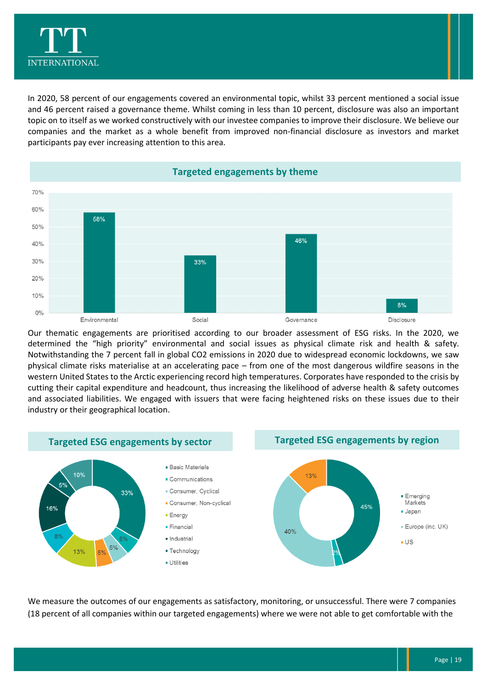

In 2020, 58 percent of our engagements covered an environmental topic, whilst 33 percent mentioned a social issue and 46 percent raised a governance theme. Whilst coming in less than 10 percent, disclosure was also an important topic on to itself as we worked constructively with our investee companies to improve their disclosure. We believe our companies and the market as a whole benefit from improved non-financial disclosure as investors and market participants pay ever increasing attention to this area.



Our thematic engagements are prioritised according to our broader assessment of ESG risks. In the 2020, we determined the "high priority" environmental and social issues as physical climate risk and health & safety. Notwithstanding the 7 percent fall in global CO2 emissions in 2020 due to widespread economic lockdowns, we saw physical climate risks materialise at an accelerating pace – from one of the most dangerous wildfire seasons in the western United States to the Arctic experiencing record high temperatures. Corporates have responded to the crisis by cutting their capital expenditure and headcount, thus increasing the likelihood of adverse health & safety outcomes and associated liabilities. We engaged with issuers that were facing heightened risks on these issues due to their industry or their geographical location.



We measure the outcomes of our engagements as satisfactory, monitoring, or unsuccessful. There were 7 companies (18 percent of all companies within our targeted engagements) where we were not able to get comfortable with the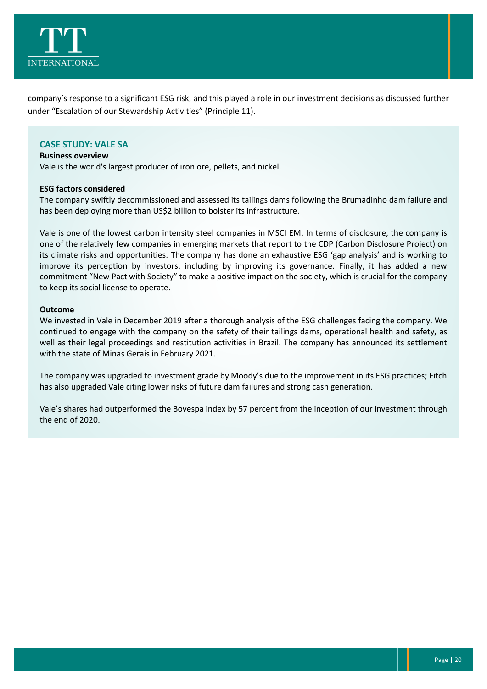

company's response to a significant ESG risk, and this played a role in our investment decisions as discussed further under "Escalation of our Stewardship Activities" (Principle 11).

#### **CASE STUDY: VALE SA**

#### **Business overview**

Vale is the world's largest producer of iron ore, pellets, and nickel.

#### **ESG factors considered**

The company swiftly decommissioned and assessed its tailings dams following the Brumadinho dam failure and has been deploying more than US\$2 billion to bolster its infrastructure.

Vale is one of the lowest carbon intensity steel companies in MSCI EM. In terms of disclosure, the company is one of the relatively few companies in emerging markets that report to the CDP (Carbon Disclosure Project) on its climate risks and opportunities. The company has done an exhaustive ESG 'gap analysis' and is working to improve its perception by investors, including by improving its governance. Finally, it has added a new commitment "New Pact with Society" to make a positive impact on the society, which is crucial for the company to keep its social license to operate.

#### **Outcome**

We invested in Vale in December 2019 after a thorough analysis of the ESG challenges facing the company. We continued to engage with the company on the safety of their tailings dams, operational health and safety, as well as their legal proceedings and restitution activities in Brazil. The company has announced its settlement with the state of Minas Gerais in February 2021.

The company was upgraded to investment grade by Moody's due to the improvement in its ESG practices; Fitch has also upgraded Vale citing lower risks of future dam failures and strong cash generation.

Vale's shares had outperformed the Bovespa index by 57 percent from the inception of our investment through the end of 2020.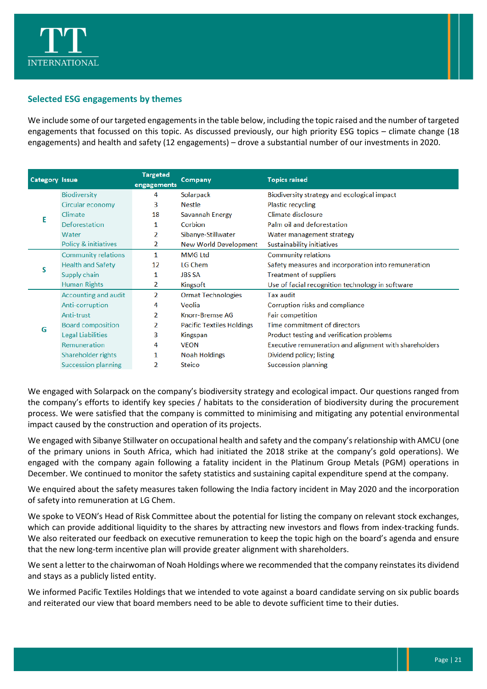

#### **Selected ESG engagements by themes**

We include some of our targeted engagements in the table below, including the topic raised and the number of targeted engagements that focussed on this topic. As discussed previously, our high priority ESG topics – climate change (18 engagements) and health and safety (12 engagements) – drove a substantial number of our investments in 2020.

| <b>Category Issue</b> |                            | <b>Targeted</b><br>engagements | Company                          | <b>Topics raised</b>                                   |
|-----------------------|----------------------------|--------------------------------|----------------------------------|--------------------------------------------------------|
| Е                     | <b>Biodiversity</b>        | 4                              | Solarpack                        | Biodiversity strategy and ecological impact            |
|                       | Circular economy           | 3                              | <b>Nestle</b>                    | <b>Plastic recycling</b>                               |
|                       | Climate                    | 18                             | Savannah Energy                  | Climate disclosure                                     |
|                       | Deforestation              | 1                              | Corbion                          | Palm oil and deforestation                             |
|                       | Water                      | 2                              | Sibanye-Stillwater               | Water management strategy                              |
|                       | Policy & initiatives       | 2                              | <b>New World Development</b>     | Sustainability initiatives                             |
| S                     | <b>Community relations</b> | 1                              | <b>MMG Ltd</b>                   | <b>Community relations</b>                             |
|                       | <b>Health and Safety</b>   | 12                             | LG Chem                          | Safety measures and incorporation into remuneration    |
|                       | Supply chain               | 1                              | <b>JBS SA</b>                    | <b>Treatment of suppliers</b>                          |
|                       | <b>Human Rights</b>        | 2                              | Kingsoft                         | Use of facial recognition technology in software       |
|                       | Accounting and audit       | 2                              | <b>Ormat Technologies</b>        | <b>Tax audit</b>                                       |
|                       | Anti-corruption            | 4                              | Veolia                           | Corruption risks and compliance                        |
|                       | 2<br>Anti-trust            | Knorr-Bremse AG                | Fair competition                 |                                                        |
| G                     | <b>Board composition</b>   | 2                              | <b>Pacific Textiles Holdings</b> | Time commitment of directors                           |
|                       | <b>Legal Liabilities</b>   | 3                              | Kingspan                         | Product testing and verification problems              |
|                       | Remuneration               | 4                              | <b>VEON</b>                      | Executive remuneration and alignment with shareholders |
|                       | Shareholder rights         | 1                              | <b>Noah Holdings</b>             | Dividend policy; listing                               |
|                       | <b>Succession planning</b> | 2                              | Steico                           | <b>Succession planning</b>                             |

We engaged with Solarpack on the company's biodiversity strategy and ecological impact. Our questions ranged from the company's efforts to identify key species / habitats to the consideration of biodiversity during the procurement process. We were satisfied that the company is committed to minimising and mitigating any potential environmental impact caused by the construction and operation of its projects.

We engaged with Sibanye Stillwater on occupational health and safety and the company's relationship with AMCU (one of the primary unions in South Africa, which had initiated the 2018 strike at the company's gold operations). We engaged with the company again following a fatality incident in the Platinum Group Metals (PGM) operations in December. We continued to monitor the safety statistics and sustaining capital expenditure spend at the company.

We enquired about the safety measures taken following the India factory incident in May 2020 and the incorporation of safety into remuneration at LG Chem.

We spoke to VEON's Head of Risk Committee about the potential for listing the company on relevant stock exchanges, which can provide additional liquidity to the shares by attracting new investors and flows from index-tracking funds. We also reiterated our feedback on executive remuneration to keep the topic high on the board's agenda and ensure that the new long-term incentive plan will provide greater alignment with shareholders.

We sent a letter to the chairwoman of Noah Holdings where we recommended that the company reinstates its dividend and stays as a publicly listed entity.

We informed Pacific Textiles Holdings that we intended to vote against a board candidate serving on six public boards and reiterated our view that board members need to be able to devote sufficient time to their duties.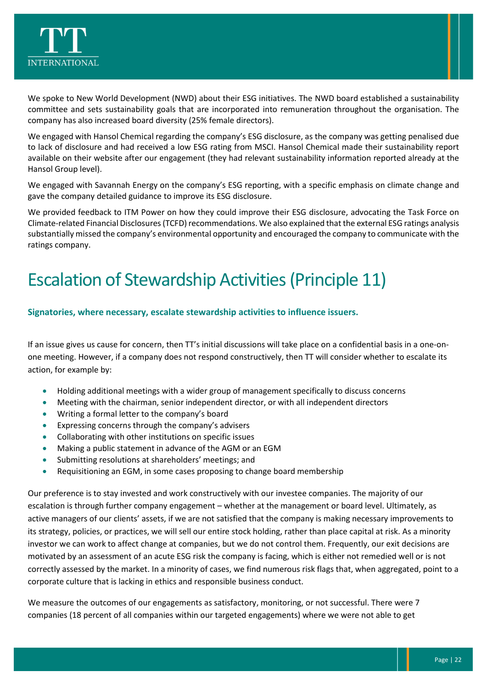

We spoke to New World Development (NWD) about their ESG initiatives. The NWD board established a sustainability committee and sets sustainability goals that are incorporated into remuneration throughout the organisation. The company has also increased board diversity (25% female directors).

We engaged with Hansol Chemical regarding the company's ESG disclosure, as the company was getting penalised due to lack of disclosure and had received a low ESG rating from MSCI. Hansol Chemical made their sustainability report available on their website after our engagement (they had relevant sustainability information reported already at the Hansol Group level).

We engaged with Savannah Energy on the company's ESG reporting, with a specific emphasis on climate change and gave the company detailed guidance to improve its ESG disclosure.

We provided feedback to ITM Power on how they could improve their ESG disclosure, advocating the Task Force on Climate-related Financial Disclosures(TCFD) recommendations. We also explained that the external ESG ratings analysis substantially missed the company's environmental opportunity and encouraged the company to communicate with the ratings company.

### <span id="page-22-0"></span>Escalation of Stewardship Activities(Principle 11)

#### **Signatories, where necessary, escalate stewardship activities to influence issuers.**

If an issue gives us cause for concern, then TT's initial discussions will take place on a confidential basis in a one-onone meeting. However, if a company does not respond constructively, then TT will consider whether to escalate its action, for example by:

- Holding additional meetings with a wider group of management specifically to discuss concerns
- Meeting with the chairman, senior independent director, or with all independent directors
- Writing a formal letter to the company's board
- Expressing concerns through the company's advisers
- Collaborating with other institutions on specific issues
- Making a public statement in advance of the AGM or an EGM
- Submitting resolutions at shareholders' meetings; and
- Requisitioning an EGM, in some cases proposing to change board membership

Our preference is to stay invested and work constructively with our investee companies. The majority of our escalation is through further company engagement – whether at the management or board level. Ultimately, as active managers of our clients' assets, if we are not satisfied that the company is making necessary improvements to its strategy, policies, or practices, we will sell our entire stock holding, rather than place capital at risk. As a minority investor we can work to affect change at companies, but we do not control them. Frequently, our exit decisions are motivated by an assessment of an acute ESG risk the company is facing, which is either not remedied well or is not correctly assessed by the market. In a minority of cases, we find numerous risk flags that, when aggregated, point to a corporate culture that is lacking in ethics and responsible business conduct.

We measure the outcomes of our engagements as satisfactory, monitoring, or not successful. There were 7 companies (18 percent of all companies within our targeted engagements) where we were not able to get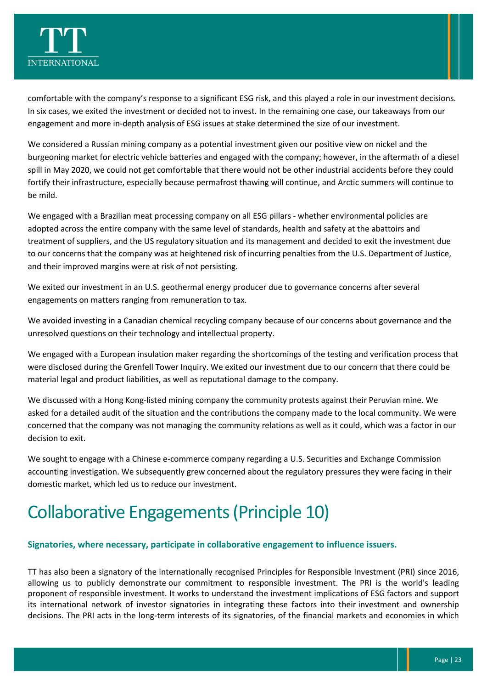

comfortable with the company's response to a significant ESG risk, and this played a role in our investment decisions. In six cases, we exited the investment or decided not to invest. In the remaining one case, our takeaways from our engagement and more in-depth analysis of ESG issues at stake determined the size of our investment.

We considered a Russian mining company as a potential investment given our positive view on nickel and the burgeoning market for electric vehicle batteries and engaged with the company; however, in the aftermath of a diesel spill in May 2020, we could not get comfortable that there would not be other industrial accidents before they could fortify their infrastructure, especially because permafrost thawing will continue, and Arctic summers will continue to be mild.

We engaged with a Brazilian meat processing company on all ESG pillars - whether environmental policies are adopted across the entire company with the same level of standards, health and safety at the abattoirs and treatment of suppliers, and the US regulatory situation and its management and decided to exit the investment due to our concerns that the company was at heightened risk of incurring penalties from the U.S. Department of Justice, and their improved margins were at risk of not persisting.

We exited our investment in an U.S. geothermal energy producer due to governance concerns after several engagements on matters ranging from remuneration to tax.

We avoided investing in a Canadian chemical recycling company because of our concerns about governance and the unresolved questions on their technology and intellectual property.

We engaged with a European insulation maker regarding the shortcomings of the testing and verification process that were disclosed during the Grenfell Tower Inquiry. We exited our investment due to our concern that there could be material legal and product liabilities, as well as reputational damage to the company.

We discussed with a Hong Kong-listed mining company the community protests against their Peruvian mine. We asked for a detailed audit of the situation and the contributions the company made to the local community. We were concerned that the company was not managing the community relations as well as it could, which was a factor in our decision to exit.

We sought to engage with a Chinese e-commerce company regarding a U.S. Securities and Exchange Commission accounting investigation. We subsequently grew concerned about the regulatory pressures they were facing in their domestic market, which led us to reduce our investment.

### <span id="page-23-0"></span>Collaborative Engagements(Principle 10)

#### **Signatories, where necessary, participate in collaborative engagement to influence issuers.**

TT has also been a signatory of the internationally recognised Principles for Responsible Investment (PRI) since 2016, allowing us to publicly demonstrate our commitment to responsible investment. The PRI is the world's leading proponent of responsible investment. It works to understand the investment implications of ESG factors and support its international network of investor signatories in integrating these factors into their investment and ownership decisions. The PRI acts in the long-term interests of its signatories, of the financial markets and economies in which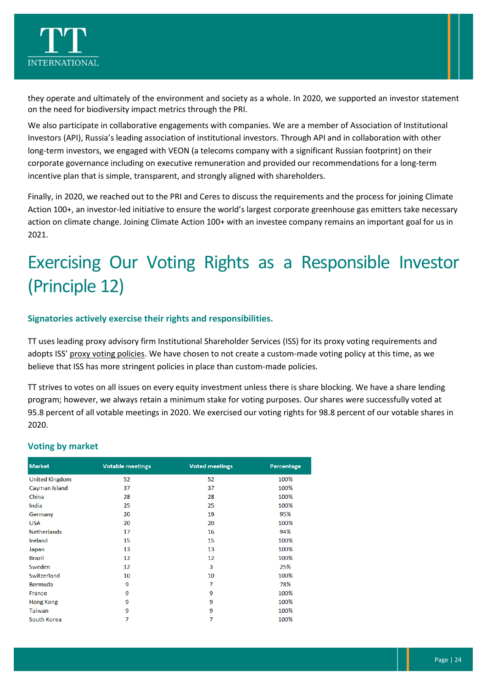

they operate and ultimately of the environment and society as a whole. In 2020, we supported an investor statement on the need for biodiversity impact metrics through the PRI.

We also participate in collaborative engagements with companies. We are a member of Association of Institutional Investors (API), Russia's leading association of institutional investors. Through API and in collaboration with other long-term investors, we engaged with VEON (a telecoms company with a significant Russian footprint) on their corporate governance including on executive remuneration and provided our recommendations for a long-term incentive plan that is simple, transparent, and strongly aligned with shareholders.

Finally, in 2020, we reached out to the PRI and Ceres to discuss the requirements and the process for joining Climate Action 100+, an investor-led initiative to ensure the world's largest corporate greenhouse gas emitters take necessary action on climate change. Joining Climate Action 100+ with an investee company remains an important goal for us in 2021.

# <span id="page-24-0"></span>Exercising Our Voting Rights as a Responsible Investor (Principle 12)

#### **Signatories actively exercise their rights and responsibilities.**

TT uses leading proxy advisory firm Institutional Shareholder Services (ISS) for its proxy voting requirements and adopts ISS' [proxy voting policies.](https://www.issgovernance.com/policy-gateway/voting-policies/) We have chosen to not create a custom-made voting policy at this time, as we believe that ISS has more stringent policies in place than custom-made policies.

TT strives to votes on all issues on every equity investment unless there is share blocking. We have a share lending program; however, we always retain a minimum stake for voting purposes. Our shares were successfully voted at 95.8 percent of all votable meetings in 2020. We exercised our voting rights for 98.8 percent of our votable shares in 2020.

#### **Voting by market**

| <b>Market</b>         | <b>Votable meetings</b> | <b>Voted meetings</b> | Percentage |
|-----------------------|-------------------------|-----------------------|------------|
| <b>United Kingdom</b> | 52                      | 52                    | 100%       |
| Cayman Island         | 37                      | 37                    | 100%       |
| China                 | 28                      | 28                    | 100%       |
| India                 | 25                      | 25                    | 100%       |
| Germany               | 20                      | 19                    | 95%        |
| <b>USA</b>            | 20                      | 20                    | 100%       |
| <b>Netherlands</b>    | 17                      | 16                    | 94%        |
| Ireland               | 15                      | 15                    | 100%       |
| Japan                 | 13                      | 13                    | 100%       |
| <b>Brazil</b>         | $12 \overline{ }$       | 12                    | 100%       |
| Sweden                | 12                      | 3                     | 25%        |
| Switzerland           | 10                      | 10                    | 100%       |
| Bermuda               | 9                       | 7                     | 78%        |
| France                | 9                       | 9                     | 100%       |
| Hong Kong             | 9                       | 9                     | 100%       |
| Taiwan                | 9                       | 9                     | 100%       |
| South Korea           | 7                       | 7                     | 100%       |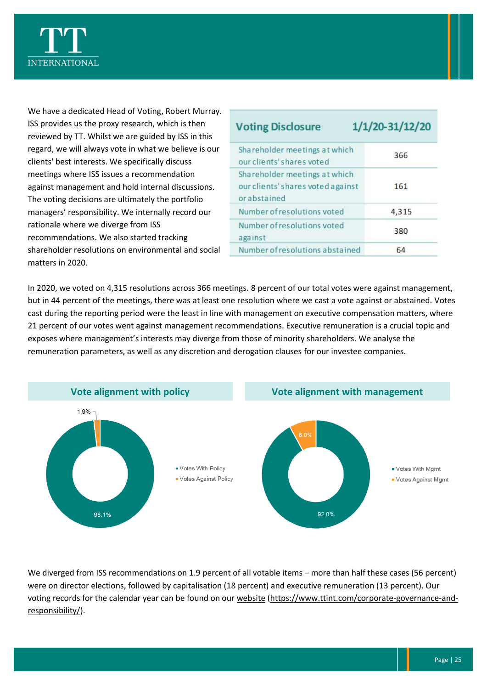

We have a dedicated Head of Voting, Robert Murray. ISS provides us the proxy research, which is then reviewed by TT. Whilst we are guided by ISS in this regard, we will always vote in what we believe is our clients' best interests. We specifically discuss meetings where ISS issues a recommendation against management and hold internal discussions. The voting decisions are ultimately the portfolio managers' responsibility. We internally record our rationale where we diverge from ISS recommendations. We also started tracking shareholder resolutions on environmental and social matters in 2020.

| <b>Voting Disclosure</b>                                                          | 1/1/20-31/12/20 |
|-----------------------------------------------------------------------------------|-----------------|
| Shareholder meetings at which<br>our clients' shares voted                        | 366             |
| Shareholder meetings at which<br>our clients' shares voted against<br>orabstained | 161             |
| Number of resolutions voted                                                       | 4,315           |
| Number of resolutions voted<br>against                                            | 380             |
| Number of resolutions abstained                                                   | 64              |

In 2020, we voted on 4,315 resolutions across 366 meetings. 8 percent of our total votes were against management, but in 44 percent of the meetings, there was at least one resolution where we cast a vote against or abstained. Votes cast during the reporting period were the least in line with management on executive compensation matters, where 21 percent of our votes went against management recommendations. Executive remuneration is a crucial topic and exposes where management's interests may diverge from those of minority shareholders. We analyse the remuneration parameters, as well as any discretion and derogation clauses for our investee companies.



We diverged from ISS recommendations on 1.9 percent of all votable items – more than half these cases (56 percent) were on director elections, followed by capitalisation (18 percent) and executive remuneration (13 percent). Our voting records for the calendar year can be found on our [website](https://www.ttint.com/corporate-governance-and-responsibility/) [\(https://www.ttint.com/corporate-governance-and](https://www.ttint.com/corporate-governance-and-responsibility/)[responsibility/\)](https://www.ttint.com/corporate-governance-and-responsibility/).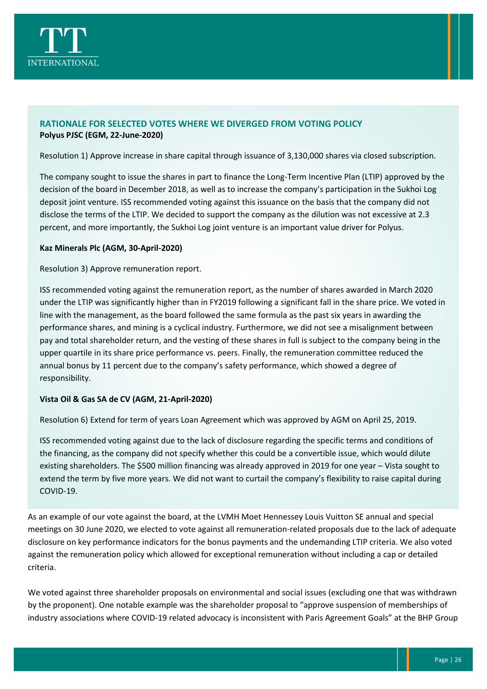

#### **RATIONALE FOR SELECTED VOTES WHERE WE DIVERGED FROM VOTING POLICY Polyus PJSC (EGM, 22-June-2020)**

Resolution 1) Approve increase in share capital through issuance of 3,130,000 shares via closed subscription.

The company sought to issue the shares in part to finance the Long-Term Incentive Plan (LTIP) approved by the decision of the board in December 2018, as well as to increase the company's participation in the Sukhoi Log deposit joint venture. ISS recommended voting against this issuance on the basis that the company did not disclose the terms of the LTIP. We decided to support the company as the dilution was not excessive at 2.3 percent, and more importantly, the Sukhoi Log joint venture is an important value driver for Polyus.

#### **Kaz Minerals Plc (AGM, 30-April-2020)**

Resolution 3) Approve remuneration report.

ISS recommended voting against the remuneration report, as the number of shares awarded in March 2020 under the LTIP was significantly higher than in FY2019 following a significant fall in the share price. We voted in line with the management, as the board followed the same formula as the past six years in awarding the performance shares, and mining is a cyclical industry. Furthermore, we did not see a misalignment between pay and total shareholder return, and the vesting of these shares in full is subject to the company being in the upper quartile in its share price performance vs. peers. Finally, the remuneration committee reduced the annual bonus by 11 percent due to the company's safety performance, which showed a degree of responsibility.

#### **Vista Oil & Gas SA de CV (AGM, 21-April-2020)**

Resolution 6) Extend for term of years Loan Agreement which was approved by AGM on April 25, 2019.

ISS recommended voting against due to the lack of disclosure regarding the specific terms and conditions of the financing, as the company did not specify whether this could be a convertible issue, which would dilute existing shareholders. The \$500 million financing was already approved in 2019 for one year – Vista sought to extend the term by five more years. We did not want to curtail the company's flexibility to raise capital during COVID-19.

As an example of our vote against the board, at the LVMH Moet Hennessey Louis Vuitton SE annual and special meetings on 30 June 2020, we elected to vote against all remuneration-related proposals due to the lack of adequate disclosure on key performance indicators for the bonus payments and the undemanding LTIP criteria. We also voted against the remuneration policy which allowed for exceptional remuneration without including a cap or detailed criteria.

We voted against three shareholder proposals on environmental and social issues (excluding one that was withdrawn by the proponent). One notable example was the shareholder proposal to "approve suspension of memberships of industry associations where COVID-19 related advocacy is inconsistent with Paris Agreement Goals" at the BHP Group